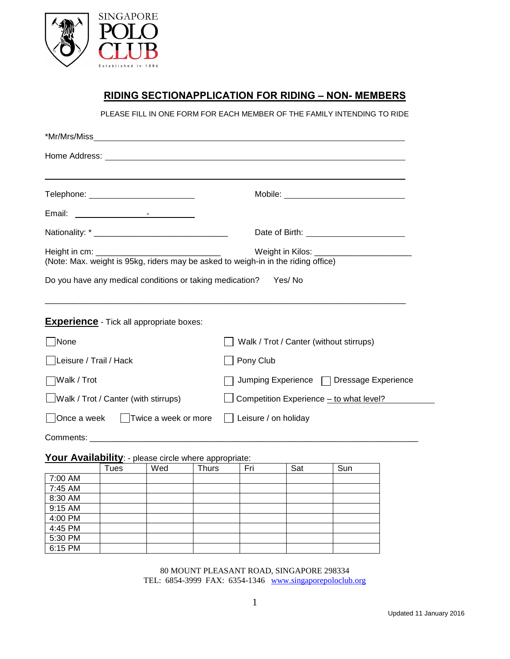

# **RIDING SECTIONAPPLICATION FOR RIDING – NON- MEMBERS**

PLEASE FILL IN ONE FORM FOR EACH MEMBER OF THE FAMILY INTENDING TO RIDE

| Telephone: National Communication of the Communication of the Communication of the Communication of the Communication of the Communication of the Communication of the Communication of the Communication of the Communication | ,我们也不会有什么。""我们的人,我们也不会有什么?""我们的人,我们也不会有什么?""我们的人,我们也不会有什么?""我们的人,我们也不会有什么?""我们的人 |  |  |
|--------------------------------------------------------------------------------------------------------------------------------------------------------------------------------------------------------------------------------|----------------------------------------------------------------------------------|--|--|
|                                                                                                                                                                                                                                |                                                                                  |  |  |
|                                                                                                                                                                                                                                |                                                                                  |  |  |
| (Note: Max. weight is 95kg, riders may be asked to weigh-in in the riding office)<br>Do you have any medical conditions or taking medication? Yes/ No                                                                          |                                                                                  |  |  |
| <b>Experience</b> - Tick all appropriate boxes:                                                                                                                                                                                |                                                                                  |  |  |
| None                                                                                                                                                                                                                           | Walk / Trot / Canter (without stirrups)                                          |  |  |
| Leisure / Trail / Hack                                                                                                                                                                                                         | Pony Club                                                                        |  |  |
| ∏Walk / Trot                                                                                                                                                                                                                   | Jumping Experience □ Dressage Experience                                         |  |  |
| □Walk / Trot / Canter (with stirrups)                                                                                                                                                                                          | Competition Experience - to what level?                                          |  |  |
| ◯Once a week │ Twice a week or more                                                                                                                                                                                            | Leisure / on holiday                                                             |  |  |
|                                                                                                                                                                                                                                |                                                                                  |  |  |

# Your Availability: - please circle where appropriate:

|         | . .<br>Tues | Wed | . .<br><b>Thurs</b> | Fri | Sat | Sun |
|---------|-------------|-----|---------------------|-----|-----|-----|
| 7:00 AM |             |     |                     |     |     |     |
| 7:45 AM |             |     |                     |     |     |     |
| 8:30 AM |             |     |                     |     |     |     |
| 9:15 AM |             |     |                     |     |     |     |
| 4:00 PM |             |     |                     |     |     |     |
| 4:45 PM |             |     |                     |     |     |     |
| 5:30 PM |             |     |                     |     |     |     |
| 6:15 PM |             |     |                     |     |     |     |

80 MOUNT PLEASANT ROAD, SINGAPORE 298334 TEL: 6854-3999 FAX: 6354-1346 [www.singaporepoloclub.org](http://www.singaporepoloclub.org/)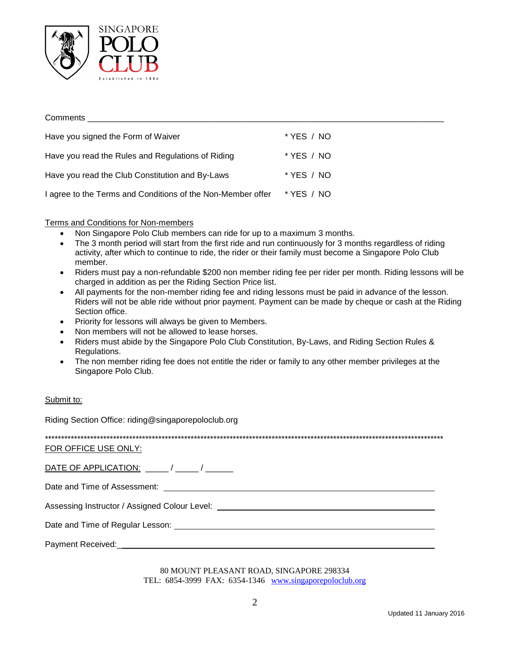

### **Comments Comments** Have you signed the Form of Waiver \* YES / NO Have you read the Rules and Regulations of Riding \* YES / NO Have you read the Club Constitution and By-Laws \* YES / NO I agree to the Terms and Conditions of the Non-Member offer \* YES / NO

### Terms and Conditions for Non-members

- Non Singapore Polo Club members can ride for up to a maximum 3 months.
- The 3 month period will start from the first ride and run continuously for 3 months regardless of riding activity, after which to continue to ride, the rider or their family must become a Singapore Polo Club member.
- Riders must pay a non-refundable \$200 non member riding fee per rider per month. Riding lessons will be charged in addition as per the Riding Section Price list.
- All payments for the non-member riding fee and riding lessons must be paid in advance of the lesson. Riders will not be able ride without prior payment. Payment can be made by cheque or cash at the Riding Section office.
- Priority for lessons will always be given to Members.
- Non members will not be allowed to lease horses.
- Riders must abide by the Singapore Polo Club Constitution, By-Laws, and Riding Section Rules & Regulations.
- The non member riding fee does not entitle the rider or family to any other member privileges at the  $\bullet$ Singapore Polo Club.

### Submit to:

Riding Section Office: riding@singaporepoloclub.org

FOR OFFICE USE ONLY:

DATE OF APPLICATION: / /

Assessing Instructor / Assigned Colour Level:

Date and Time of Regular Lesson: Note that the state of the state of the state of the state of the state of the state of the state of the state of the state of the state of the state of the state of the state of the state

Payment Received: https://www.assett.com/

80 MOUNT PLEASANT ROAD, SINGAPORE 298334 TEL: 6854-3999 FAX: 6354-1346 www.singaporepoloclub.org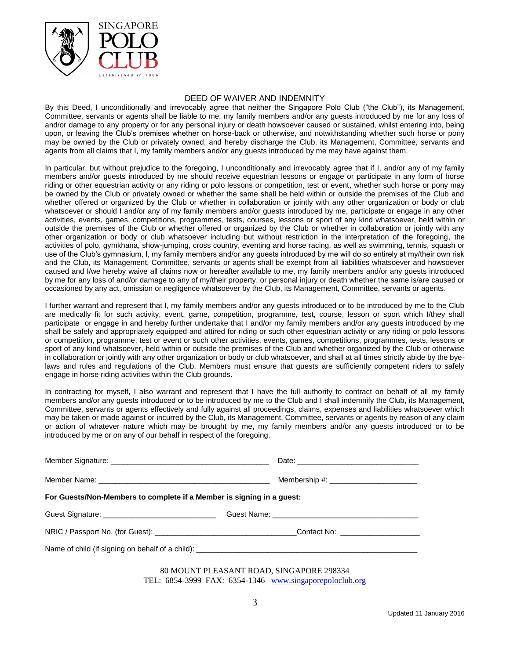

#### DEED OF WAIVER AND INDEMNITY

By this Deed, I unconditionally and irrevocably agree that neither the Singapore Polo Club ("the Club"), its Management, Committee, servants or agents shall be liable to me, my family members and/or any guests introduced by me for any loss of and/or damage to any property or for any personal injury or death howsoever caused or sustained, whilst entering into, being upon, or leaving the Club's premises whether on horse-back or otherwise, and notwithstanding whether such horse or pony may be owned by the Club or privately owned, and hereby discharge the Club, its Management, Committee, servants and agents from all claims that I, my family members and/or any guests introduced by me may have against them.

In particular, but without prejudice to the foregoing, I unconditionally and irrevocably agree that if I, and/or any of my family members and/or guests introduced by me should receive equestrian lessons or engage or participate in any form of horse riding or other equestrian activity or any riding or polo lessons or competition, test or event, whether such horse or pony may be owned by the Club or privately owned or whether the same shall be held within or outside the premises of the Club and whether offered or organized by the Club or whether in collaboration or jointly with any other organization or body or club whatsoever or should I and/or any of my family members and/or guests introduced by me, participate or engage in any other activities, events, games, competitions, programmes, tests, courses, lessons or sport of any kind whatsoever, held within or outside the premises of the Club or whether offered or organized by the Club or whether in collaboration or jointly with any other organization or body or club whatsoever including but without restriction in the interpretation of the foregoing, the activities of polo, gymkhana, show-jumping, cross country, eventing and horse racing, as well as swimming, tennis, squash or use of the Club's gymnasium, I, my family members and/or any guests introduced by me will do so entirely at my/their own risk and the Club, its Management, Committee, servants or agents shall be exempt from all liabilities whatsoever and howsoever caused and I/we hereby waive all claims now or hereafter available to me, my family members and/or any guests introduced by me for any loss of and/or damage to any of my/their property, or personal injury or death whether the same is/are caused or occasioned by any act, omission or negligence whatsoever by the Club, its Management, Committee, servants or agents.

I further warrant and represent that I, my family members and/or any guests introduced or to be introduced by me to the Club are medically fit for such activity, event, game, competition, programme, test, course, lesson or sport which I/they shall participate or engage in and hereby further undertake that I and/or my family members and/or any guests introduced by me shall be safely and appropriately equipped and attired for riding or such other equestrian activity or any riding or polo lessons or competition, programme, test or event or such other activities, events, games, competitions, programmes, tests, lessons or sport of any kind whatsoever, held within or outside the premises of the Club and whether organized by the Club or otherwise in collaboration or jointly with any other organization or body or club whatsoever, and shall at all times strictly abide by the byelaws and rules and regulations of the Club. Members must ensure that guests are sufficiently competent riders to safely engage in horse riding activities within the Club grounds.

In contracting for myself, I also warrant and represent that I have the full authority to contract on behalf of all my family members and/or any guests introduced or to be introduced by me to the Club and I shall indemnify the Club, its Management, Committee, servants or agents effectively and fully against all proceedings, claims, expenses and liabilities whatsoever which may be taken or made against or incurred by the Club, its Management, Committee, servants or agents by reason of any claim or action of whatever nature which may be brought by me, my family members and/or any guests introduced or to be introduced by me or on any of our behalf in respect of the foregoing.

| For Guests/Non-Members to complete if a Member is signing in a guest: |                                                                                                      |
|-----------------------------------------------------------------------|------------------------------------------------------------------------------------------------------|
|                                                                       |                                                                                                      |
|                                                                       | NRIC / Passport No. (for Guest): ___________________________________Contact No: ____________________ |
|                                                                       |                                                                                                      |
|                                                                       | 80 MOUNT PLEASANT ROAD. SINGAPORE 298334                                                             |

TEL: 6854-3999 FAX: 6354-1346 [www.singaporepoloclub.org](http://www.singaporepoloclub.org/)